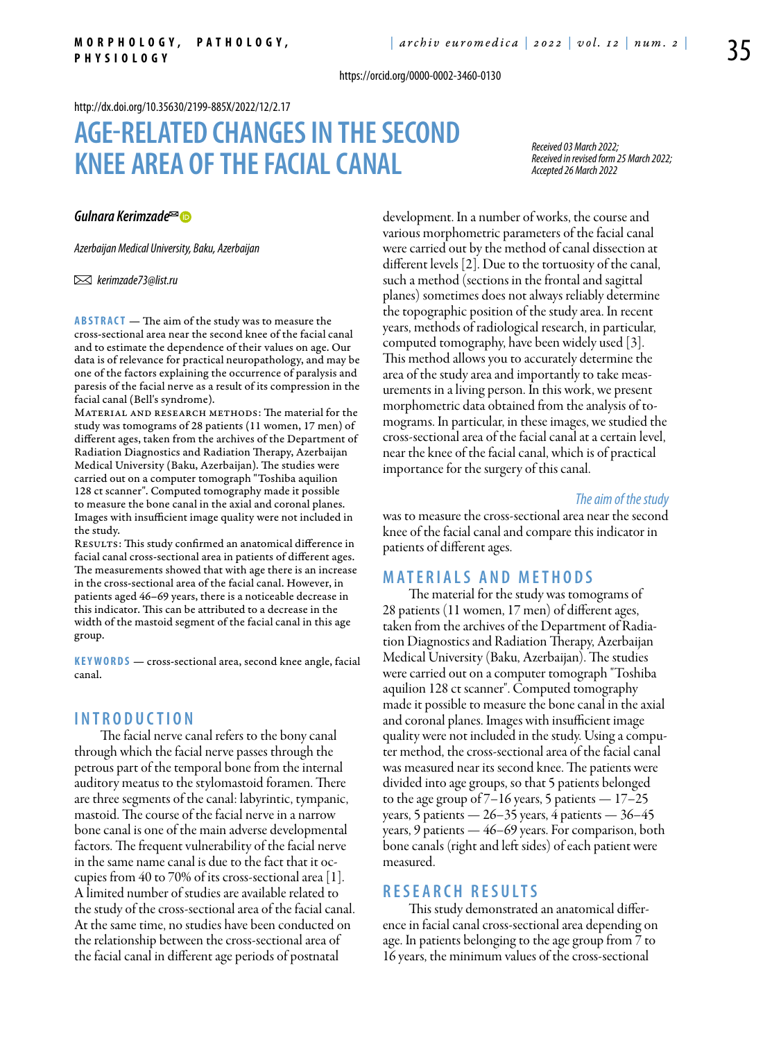https://orcid.org/0000-0002-3460-0130

#### <http://dx.doi.org/10.35630/2199-885X/2022/12/2.17>

# **Age-related changes in the second knee area of the facialcanal**

*Received 03 March 2022; Received in revised form 25 March 2022; Accepted 26 March 2022*

### *[Gulnara Kerimzade](https://orcid.org/0000-0002-3460-0130)*

*Azerbaijan Medical University, Baku, Azerbaijan*

 *kerimzade73@list.ru*

**Abstract** — The aim of the study was to measure the cross-sectional area near the second knee of the facial canal and to estimate the dependence of their values on age. Our data is of relevance for practical neuropathology, and may be one of the factors explaining the occurrence of paralysis and paresis of the facial nerve as a result of its compression in the facial canal (Bell's syndrome).

MATERIAL AND RESEARCH METHODS: The material for the study was tomograms of 28 patients (11 women, 17 men) of different ages, taken from the archives of the Department of Radiation Diagnostics and Radiation Therapy, Azerbaijan Medical University (Baku, Azerbaijan). The studies were carried out on a computer tomograph "Toshiba aquilion 128 ct scanner". Computed tomography made it possible to measure the bone canal in the axial and coronal planes. Images with insufficient image quality were not included in the study.

RESULTS: This study confirmed an anatomical difference in facial canal cross-sectional area in patients of different ages. The measurements showed that with age there is an increase in the cross-sectional area of the facial canal. However, in patients aged 46–69 years, there is a noticeable decrease in this indicator. This can be attributed to a decrease in the width of the mastoid segment of the facial canal in this age group.

**KEYWORDS** — cross-sectional area, second knee angle, facial canal.

### **I n t r o ducti o n**

The facial nerve canal refers to the bony canal through which the facial nerve passes through the petrous part of the temporal bone from the internal auditory meatus to the stylomastoid foramen. There are three segments of the canal: labyrintic, tympanic, mastoid. The course of the facial nerve in a narrow bone canal is one of the main adverse developmental factors. The frequent vulnerability of the facial nerve in the same name canal is due to the fact that it occupies from 40 to 70% of its cross-sectional area [1]. A limited number of studies are available related to the study of the cross-sectional area of the facial canal. At the same time, no studies have been conducted on the relationship between the cross-sectional area of the facial canal in different age periods of postnatal

development. In a number of works, the course and various morphometric parameters of the facial canal were carried out by the method of canal dissection at different levels [2]. Due to the tortuosity of the canal, such a method (sections in the frontal and sagittal planes) sometimes does not always reliably determine the topographic position of the study area. In recent years, methods of radiological research, in particular, computed tomography, have been widely used [3]. This method allows you to accurately determine the area of the study area and importantly to take measurements in a living person. In this work, we present morphometric data obtained from the analysis of tomograms. In particular, in these images, we studied the cross-sectional area of the facial canal at a certain level, near the knee of the facial canal, which is of practical importance for the surgery of this canal.

#### *The aim of the study*

was to measure the cross-sectional area near the second knee of the facial canal and compare this indicator in patients of different ages.

### **M ATE R I A LS A N D MET H O D S**

The material for the study was tomograms of 28 patients (11 women, 17 men) of different ages, taken from the archives of the Department of Radiation Diagnostics and Radiation Therapy, Azerbaijan Medical University (Baku, Azerbaijan). The studies were carried out on a computer tomograph "Toshiba aquilion 128 ct scanner". Computed tomography made it possible to measure the bone canal in the axial and coronal planes. Images with insufficient image quality were not included in the study. Using a computer method, the cross-sectional area of the facial canal was measured near its second knee. The patients were divided into age groups, so that 5 patients belonged to the age group of  $7-16$  years, 5 patients  $-17-25$ years, 5 patients —  $26-35$  years, 4 patients —  $36-45$ years, 9 patients — 46–69 years. For comparison, both bone canals (right and left sides) of each patient were measured.

## **R ESE A R C H R ES U LTS**

This study demonstrated an anatomical difference in facial canal cross-sectional area depending on age. In patients belonging to the age group from 7 to 16 years, the minimum values of the cross-sectional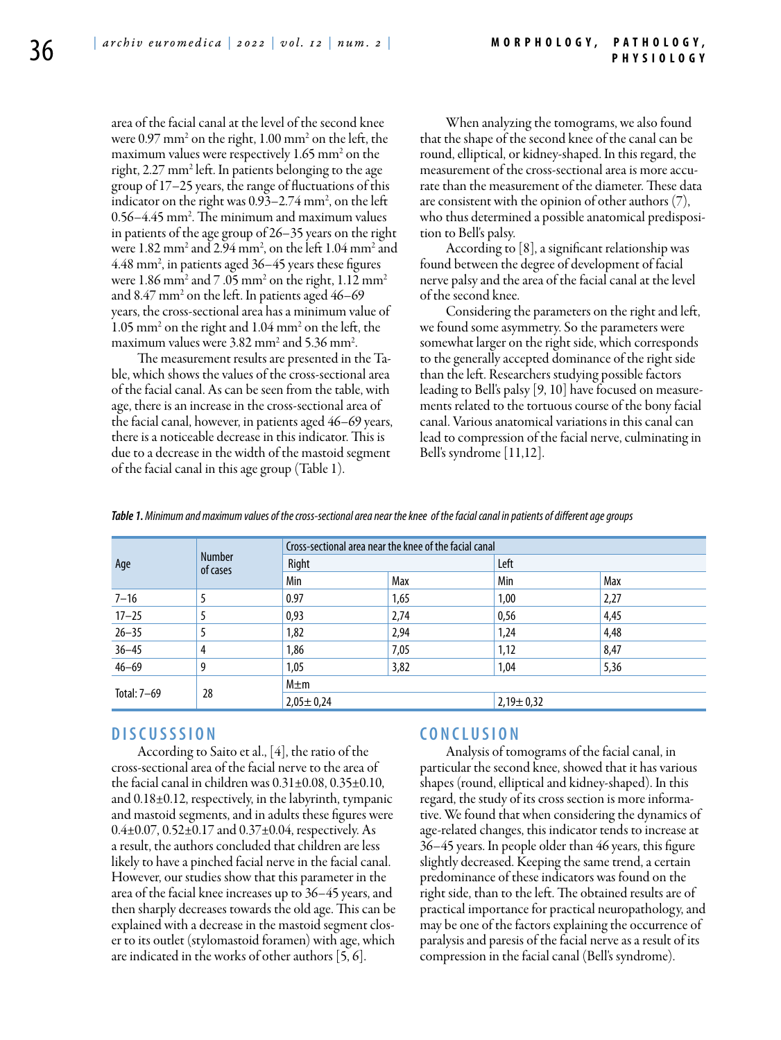area of the facial canal at the level of the second knee were 0.97 mm2 on the right, 1.00 mm2 on the left, the maximum values were respectively 1.65 mm<sup>2</sup> on the right, 2.27 mm2 left. In patients belonging to the age group of 17–25 years, the range of fluctuations of this indicator on the right was  $0.93-2.74$  mm<sup>2</sup>, on the left 0.56–4.45 mm2 . The minimum and maximum values in patients of the age group of 26–35 years on the right were 1.82 mm2 and 2.94 mm2 , on the left 1.04 mm2 and 4.48 mm2 , in patients aged 36–45 years these figures were  $1.86$  mm $^2$  and  $7$  .05 mm $^2$  on the right,  $1.12$  mm $^2$ and 8.47 mm2 on the left. In patients aged 46–69 years, the cross-sectional area has a minimum value of 1.05 mm2 on the right and 1.04 mm2 on the left, the maximum values were 3.82 mm<sup>2</sup> and 5.36 mm<sup>2</sup> .

The measurement results are presented in the Table, which shows the values of the cross-sectional area of the facial canal. As can be seen from the table, with age, there is an increase in the cross-sectional area of the facial canal, however, in patients aged 46–69 years, there is a noticeable decrease in this indicator. This is due to a decrease in the width of the mastoid segment of the facial canal in this age group (Table 1).

When analyzing the tomograms, we also found that the shape of the second knee of the canal can be round, elliptical, or kidney-shaped. In this regard, the measurement of the cross-sectional area is more accurate than the measurement of the diameter. These data are consistent with the opinion of other authors (7), who thus determined a possible anatomical predisposition to Bell's palsy.

According to [8], a significant relationship was found between the degree of development of facial nerve palsy and the area of the facial canal at the level of the second knee.

Considering the parameters on the right and left, we found some asymmetry. So the parameters were somewhat larger on the right side, which corresponds to the generally accepted dominance of the right side than the left. Researchers studying possible factors leading to Bell's palsy [9, 10] have focused on measurements related to the tortuous course of the bony facial canal. Various anatomical variations in this canal can lead to compression of the facial nerve, culminating in Bell's syndrome [11,12].

*Table 1. Minimum and maximum values of the cross-sectional area near the knee of the facial canal in patients of different age groups*

| Age         | <b>Number</b><br>of cases | Cross-sectional area near the knee of the facial canal |      |                 |      |
|-------------|---------------------------|--------------------------------------------------------|------|-----------------|------|
|             |                           | Right                                                  |      | Left            |      |
|             |                           | Min                                                    | Max  | Min             | Max  |
| $7 - 16$    |                           | 0.97                                                   | 1,65 | 1,00            | 2,27 |
| $17 - 25$   |                           | 0,93                                                   | 2,74 | 0,56            | 4,45 |
| $26 - 35$   |                           | 1,82                                                   | 2,94 | 1,24            | 4,48 |
| $36 - 45$   | 4                         | 1,86                                                   | 7,05 | 1,12            | 8,47 |
| $46 - 69$   | 9                         | 1,05                                                   | 3,82 | 1,04            | 5,36 |
| Total: 7-69 | 28                        | $M \pm m$                                              |      |                 |      |
|             |                           | $2,05 \pm 0,24$                                        |      | $2,19 \pm 0,32$ |      |

## **D ISC U SSSI ON**

According to Saito et al., [4], the ratio of the cross-sectional area of the facial nerve to the area of the facial canal in children was  $0.31\pm0.08$ ,  $0.35\pm0.10$ , and 0.18±0.12, respectively, in the labyrinth, tympanic and mastoid segments, and in adults these figures were  $0.4\pm0.07$ ,  $0.52\pm0.17$  and  $0.37\pm0.04$ , respectively. As a result, the authors concluded that children are less likely to have a pinched facial nerve in the facial canal. However, our studies show that this parameter in the area of the facial knee increases up to 36–45 years, and then sharply decreases towards the old age. This can be explained with a decrease in the mastoid segment closer to its outlet (stylomastoid foramen) with age, which are indicated in the works of other authors [5, 6].

# **C ON C L U SI ON**

Analysis of tomograms of the facial canal, in particular the second knee, showed that it has various shapes (round, elliptical and kidney-shaped). In this regard, the study of its cross section is more informative. We found that when considering the dynamics of age-related changes, this indicator tends to increase at 36–45 years. In people older than 46 years, this figure slightly decreased. Keeping the same trend, a certain predominance of these indicators was found on the right side, than to the left. The obtained results are of practical importance for practical neuropathology, and may be one of the factors explaining the occurrence of paralysis and paresis of the facial nerve as a result of its compression in the facial canal (Bell's syndrome).